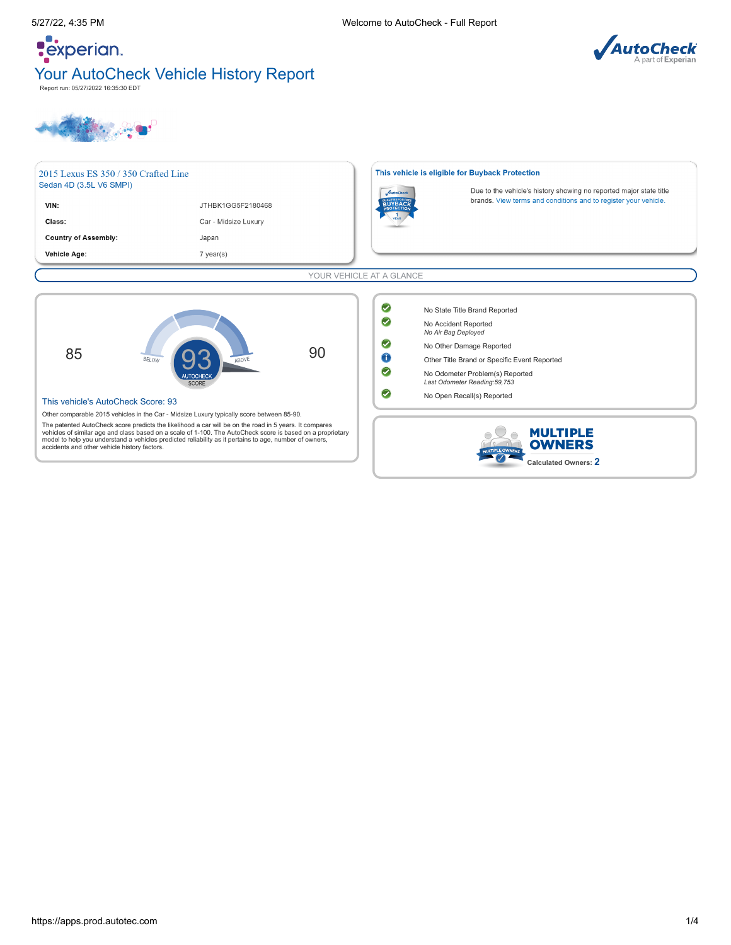# **Pexperian** Your AutoCheck Vehicle History Report Report run: 05/27/2022 16:35:30 EDT



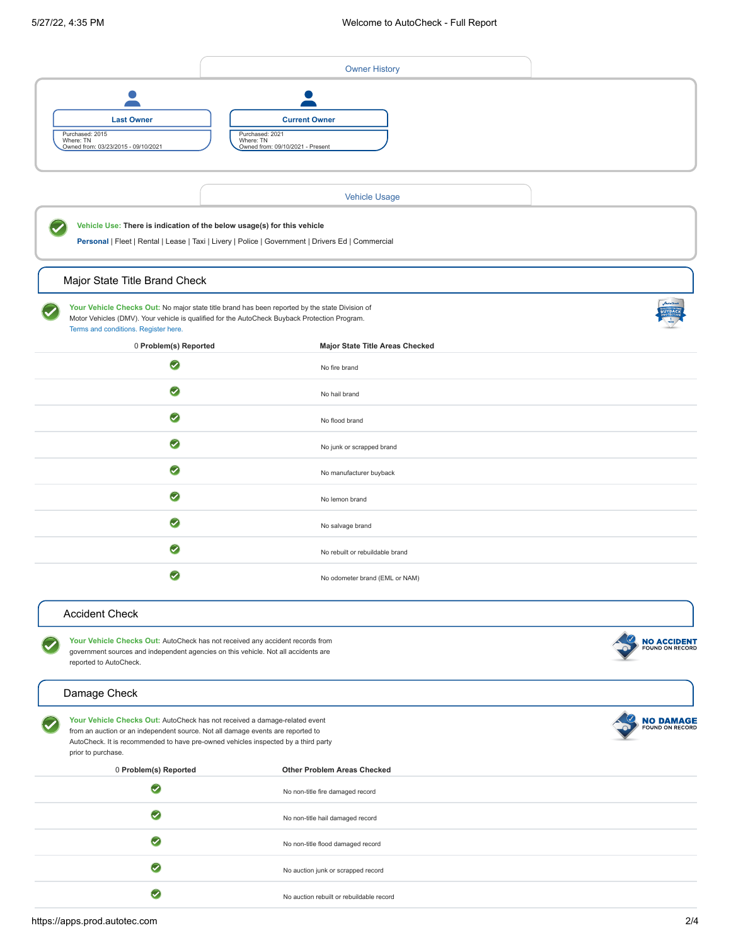<span id="page-1-6"></span><span id="page-1-5"></span><span id="page-1-4"></span><span id="page-1-3"></span><span id="page-1-2"></span><span id="page-1-1"></span><span id="page-1-0"></span>

|                                                                                                                                                                                                                                                                           |                                                                                                                                                                                                 | <b>Owner History</b>                     |  |
|---------------------------------------------------------------------------------------------------------------------------------------------------------------------------------------------------------------------------------------------------------------------------|-------------------------------------------------------------------------------------------------------------------------------------------------------------------------------------------------|------------------------------------------|--|
| <b>Last Owner</b><br>Purchased: 2015<br>Where: TN<br>Owned from: 03/23/2015 - 09/10/2021                                                                                                                                                                                  | <b>Current Owner</b><br>Purchased: 2021<br>Where: TN<br>Owned from: 09/10/2021 - Present                                                                                                        |                                          |  |
|                                                                                                                                                                                                                                                                           |                                                                                                                                                                                                 | <b>Vehicle Usage</b>                     |  |
| Vehicle Use: There is indication of the below usage(s) for this vehicle                                                                                                                                                                                                   | Personal   Fleet   Rental   Lease   Taxi   Livery   Police   Government   Drivers Ed   Commercial                                                                                               |                                          |  |
| Major State Title Brand Check                                                                                                                                                                                                                                             |                                                                                                                                                                                                 |                                          |  |
| Terms and conditions. Register here.                                                                                                                                                                                                                                      | Your Vehicle Checks Out: No major state title brand has been reported by the state Division of<br>Motor Vehicles (DMV). Your vehicle is qualified for the AutoCheck Buyback Protection Program. |                                          |  |
| 0 Problem(s) Reported                                                                                                                                                                                                                                                     |                                                                                                                                                                                                 | <b>Major State Title Areas Checked</b>   |  |
| $\bullet$                                                                                                                                                                                                                                                                 | No fire brand                                                                                                                                                                                   |                                          |  |
| $\bullet$                                                                                                                                                                                                                                                                 | No hail brand                                                                                                                                                                                   |                                          |  |
| $\bullet$<br>No flood brand                                                                                                                                                                                                                                               |                                                                                                                                                                                                 |                                          |  |
| $\bullet$<br>No junk or scrapped brand                                                                                                                                                                                                                                    |                                                                                                                                                                                                 |                                          |  |
| $\bullet$<br>No manufacturer buyback                                                                                                                                                                                                                                      |                                                                                                                                                                                                 |                                          |  |
| Ø<br>No lemon brand                                                                                                                                                                                                                                                       |                                                                                                                                                                                                 |                                          |  |
| $\bullet$                                                                                                                                                                                                                                                                 | No salvage brand                                                                                                                                                                                |                                          |  |
| $\bullet$                                                                                                                                                                                                                                                                 | No rebuilt or rebuildable brand                                                                                                                                                                 |                                          |  |
| $\left\vert \mathbf{v}\right\vert$<br>No odometer brand (EML or NAM)                                                                                                                                                                                                      |                                                                                                                                                                                                 |                                          |  |
| <b>Accident Check</b>                                                                                                                                                                                                                                                     |                                                                                                                                                                                                 |                                          |  |
| Your Vehicle Checks Out: AutoCheck has not received any accident records from<br>government sources and independent agencies on this vehicle. Not all accidents are<br>reported to AutoCheck.                                                                             |                                                                                                                                                                                                 | <b>NO ACCIDENT</b><br>FOUND ON RECORD    |  |
| Damage Check                                                                                                                                                                                                                                                              |                                                                                                                                                                                                 |                                          |  |
| Your Vehicle Checks Out: AutoCheck has not received a damage-related event<br>from an auction or an independent source. Not all damage events are reported to<br>AutoCheck. It is recommended to have pre-owned vehicles inspected by a third party<br>prior to purchase. |                                                                                                                                                                                                 | <b>NO DAMAGE</b><br>FOUND ON RECORD      |  |
| <b>Other Problem Areas Checked</b><br>0 Problem(s) Reported                                                                                                                                                                                                               |                                                                                                                                                                                                 |                                          |  |
| $\bullet$                                                                                                                                                                                                                                                                 | No non-title fire damaged record                                                                                                                                                                |                                          |  |
| $\bullet$                                                                                                                                                                                                                                                                 | No non-title hail damaged record                                                                                                                                                                |                                          |  |
| $\bullet$                                                                                                                                                                                                                                                                 |                                                                                                                                                                                                 | No non-title flood damaged record        |  |
| $\bullet$                                                                                                                                                                                                                                                                 |                                                                                                                                                                                                 | No auction junk or scrapped record       |  |
| $\bullet$                                                                                                                                                                                                                                                                 |                                                                                                                                                                                                 | No auction rebuilt or rebuildable record |  |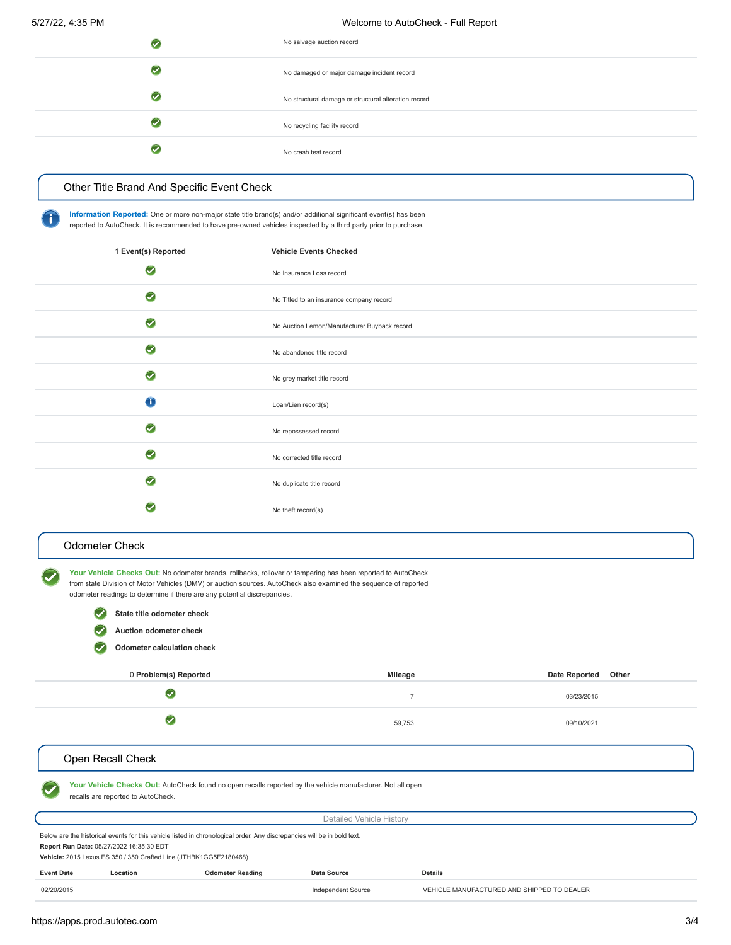| No salvage auction record                            |
|------------------------------------------------------|
| No damaged or major damage incident record           |
| No structural damage or structural alteration record |
| No recycling facility record                         |
| No crash test record                                 |

## <span id="page-2-0"></span>[Other Title Brand And Specific Event Check](#page-2-3)

**Information Reported:** One or more non-major state title brand(s) and/or additional significant event(s) has been reported to AutoCheck. It is recommended to have pre-owned vehicles inspected by a third party prior to purchase.

<span id="page-2-3"></span>

| 1 Event(s) Reported          | <b>Vehicle Events Checked</b>                |  |
|------------------------------|----------------------------------------------|--|
| $\bullet$                    | No Insurance Loss record                     |  |
| $\bullet$                    | No Titled to an insurance company record     |  |
| $\bullet$                    | No Auction Lemon/Manufacturer Buyback record |  |
| $\bullet$                    | No abandoned title record                    |  |
| $\bullet$                    | No grey market title record                  |  |
| $\bigcap$                    | Loan/Lien record(s)                          |  |
| $\bullet$                    | No repossessed record                        |  |
| $\bullet$                    | No corrected title record                    |  |
| $\bullet$                    | No duplicate title record                    |  |
| $\boldsymbol{\triangledown}$ | No theft record(s)                           |  |

## <span id="page-2-1"></span>[Odometer Check](#page-2-4)

**Your Vehicle Checks Out:** No odometer brands, rollbacks, rollover or tampering has been reported to AutoCheck from state Division of Motor Vehicles (DMV) or auction sources. AutoCheck also examined the sequence of reported odometer readings to determine if there are any potential discrepancies.

<span id="page-2-5"></span><span id="page-2-4"></span><span id="page-2-2"></span>

|                                                                                                                                                                                                                                          | State title odometer check<br>Auction odometer check<br><b>Odometer calculation check</b> |                         |                                 |                                            |       |
|------------------------------------------------------------------------------------------------------------------------------------------------------------------------------------------------------------------------------------------|-------------------------------------------------------------------------------------------|-------------------------|---------------------------------|--------------------------------------------|-------|
|                                                                                                                                                                                                                                          | 0 Problem(s) Reported                                                                     |                         | Mileage                         | <b>Date Reported</b>                       | Other |
|                                                                                                                                                                                                                                          | $\bullet$                                                                                 |                         | $\overline{7}$                  | 03/23/2015                                 |       |
| $\bullet$                                                                                                                                                                                                                                |                                                                                           |                         | 59,753                          | 09/10/2021                                 |       |
| Open Recall Check                                                                                                                                                                                                                        |                                                                                           |                         |                                 |                                            |       |
| Your Vehicle Checks Out: AutoCheck found no open recalls reported by the vehicle manufacturer. Not all open<br>recalls are reported to AutoCheck.                                                                                        |                                                                                           |                         |                                 |                                            |       |
|                                                                                                                                                                                                                                          |                                                                                           |                         | <b>Detailed Vehicle History</b> |                                            |       |
| Below are the historical events for this vehicle listed in chronological order. Any discrepancies will be in bold text.<br>Report Run Date: 05/27/2022 16:35:30 EDT<br>Vehicle: 2015 Lexus ES 350 / 350 Crafted Line (JTHBK1GG5F2180468) |                                                                                           |                         |                                 |                                            |       |
| <b>Event Date</b>                                                                                                                                                                                                                        | Location                                                                                  | <b>Odometer Reading</b> | Data Source                     | <b>Details</b>                             |       |
| 02/20/2015                                                                                                                                                                                                                               |                                                                                           |                         | Independent Source              | VEHICLE MANUFACTURED AND SHIPPED TO DEALER |       |